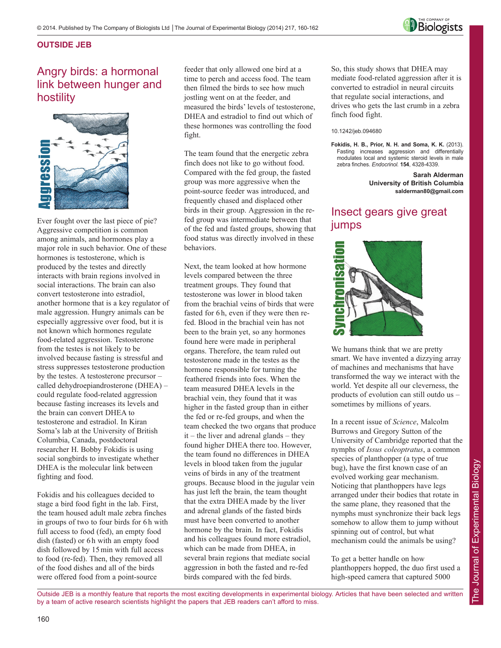

### **OUTSIDE JEB**

# Angry birds: a hormonal link between hunger and hostility



Ever fought over the last piece of pie? Aggressive competition is common among animals, and hormones play a major role in such behavior. One of these hormones is testosterone, which is produced by the testes and directly interacts with brain regions involved in social interactions. The brain can also convert testosterone into estradiol, another hormone that is a key regulator of male aggression. Hungry animals can be especially aggressive over food, but it is not known which hormones regulate food-related aggression. Testosterone from the testes is not likely to be involved because fasting is stressful and stress suppresses testosterone production by the testes. A testosterone precursor – called dehydroepiandrosterone (DHEA) – could regulate food-related aggression because fasting increases its levels and the brain can convert DHEA to testosterone and estradiol. In Kiran Soma's lab at the University of British Columbia, Canada, postdoctoral researcher H. Bobby Fokidis is using social songbirds to investigate whether DHEA is the molecular link between fighting and food.

Fokidis and his colleagues decided to stage a bird food fight in the lab. First, the team housed adult male zebra finches in groups of two to four birds for 6 h with full access to food (fed), an empty food dish (fasted) or 6 h with an empty food dish followed by 15 min with full access to food (re-fed). Then, they removed all of the food dishes and all of the birds were offered food from a point-source

feeder that only allowed one bird at a time to perch and access food. The team then filmed the birds to see how much jostling went on at the feeder, and measured the birds' levels of testosterone, DHEA and estradiol to find out which of these hormones was controlling the food fight.

The team found that the energetic zebra finch does not like to go without food. Compared with the fed group, the fasted group was more aggressive when the point-source feeder was introduced, and frequently chased and displaced other birds in their group. Aggression in the refed group was intermediate between that of the fed and fasted groups, showing that food status was directly involved in these behaviors.

Next, the team looked at how hormone levels compared between the three treatment groups. They found that testosterone was lower in blood taken from the brachial veins of birds that were fasted for 6 h, even if they were then refed. Blood in the brachial vein has not been to the brain yet, so any hormones found here were made in peripheral organs. Therefore, the team ruled out testosterone made in the testes as the hormone responsible for turning the feathered friends into foes. When the team measured DHEA levels in the brachial vein, they found that it was higher in the fasted group than in either the fed or re-fed groups, and when the team checked the two organs that produce it – the liver and adrenal glands – they found higher DHEA there too. However, the team found no differences in DHEA levels in blood taken from the jugular veins of birds in any of the treatment groups. Because blood in the jugular vein has just left the brain, the team thought that the extra DHEA made by the liver and adrenal glands of the fasted birds must have been converted to another hormone by the brain. In fact, Fokidis and his colleagues found more estradiol, which can be made from DHEA, in several brain regions that mediate social aggression in both the fasted and re-fed birds compared with the fed birds.

So, this study shows that DHEA may mediate food-related aggression after it is converted to estradiol in neural circuits that regulate social interactions, and drives who gets the last crumb in a zebra finch food fight.

### 10.1242/jeb.094680

**Fokidis, H. B., Prior, N. H. and Soma, K. K.** (2013). Fasting increases aggression and differentially modulates local and systemic steroid levels in male zebra finches. *Endocrinol.* **154**, 4328-4339.

> **Sarah Alderman University of British Columbia salderman80@gmail.com**

# Insect gears give great jumps



We humans think that we are pretty smart. We have invented a dizzying array of machines and mechanisms that have transformed the way we interact with the world. Yet despite all our cleverness, the products of evolution can still outdo us – sometimes by millions of years.

In a recent issue of *Science*, Malcolm Burrows and Gregory Sutton of the University of Cambridge reported that the nymphs of *Issus coleoptratus*, a common species of planthopper (a type of true bug), have the first known case of an evolved working gear mechanism. Noticing that planthoppers have legs arranged under their bodies that rotate in the same plane, they reasoned that the nymphs must synchronize their back legs somehow to allow them to jump without spinning out of control, but what mechanism could the animals be using? **Example 18**<br>
We humans think that we are pretty<br>
smart. We have invented a dizzying an<br>
of machines and mechanisms that hav<br>
transformed the way we interact with<br>
world. Yet despite all our cleverness,<br>
products of evolut

To get a better handle on how planthoppers hopped, the duo first used a

Outside JEB is a monthly feature that reports the most exciting developments in experimental biology. Articles that have been selected and written by a team of active research scientists highlight the papers that JEB readers can't afford to miss.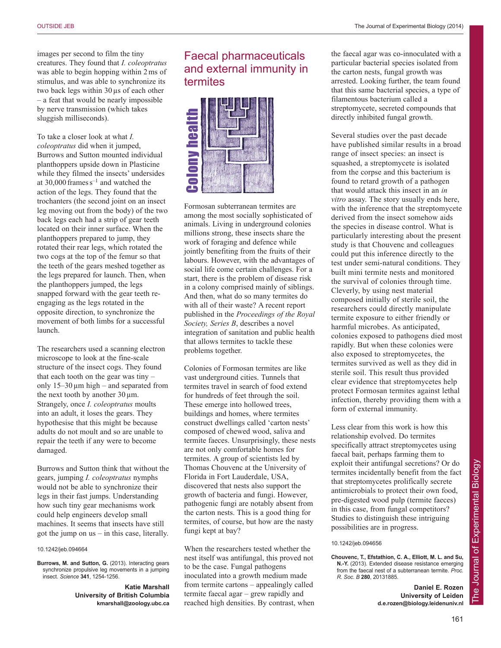images per second to film the tiny creatures. They found that *I. coleoptratus* was able to begin hopping within 2 ms of stimulus, and was able to synchronize its two back legs within 30 µs of each other – a feat that would be nearly impossible by nerve transmission (which takes sluggish milliseconds).

To take a closer look at what *I. coleoptratus* did when it jumped, Burrows and Sutton mounted individual planthoppers upside down in Plasticine while they filmed the insects' undersides at  $30,000$  frames  $s^{-1}$  and watched the action of the legs. They found that the trochanters (the second joint on an insect leg moving out from the body) of the two back legs each had a strip of gear teeth located on their inner surface. When the planthoppers prepared to jump, they rotated their rear legs, which rotated the two cogs at the top of the femur so that the teeth of the gears meshed together as the legs prepared for launch. Then, when the planthoppers jumped, the legs snapped forward with the gear teeth reengaging as the legs rotated in the opposite direction, to synchronize the movement of both limbs for a successful launch.

The researchers used a scanning electron microscope to look at the fine-scale structure of the insect cogs. They found that each tooth on the gear was tiny – only  $15-30 \mu m$  high – and separated from the next tooth by another  $30 \mu m$ . Strangely, once *I. coleoptratus* moults into an adult, it loses the gears. They hypothesise that this might be because adults do not moult and so are unable to repair the teeth if any were to become damaged.

Burrows and Sutton think that without the gears, jumping *I. coleoptratus* nymphs would not be able to synchronize their legs in their fast jumps. Understanding how such tiny gear mechanisms work could help engineers develop small machines. It seems that insects have still got the jump on us – in this case, literally.

#### 10.1242/jeb.094664

**Burrows, M. and Sutton, G.** (2013). Interacting gears synchronize propulsive leg movements in a jumping insect. *Science* **341**, 1254-1256.

> **Katie Marshall University of British Columbia kmarshall@zoology.ubc.ca**

## Faecal pharmaceuticals and external immunity in termites



Formosan subterranean termites are among the most socially sophisticated of animals. Living in underground colonies millions strong, these insects share the work of foraging and defence while jointly benefiting from the fruits of their labours. However, with the advantages of social life come certain challenges. For a start, there is the problem of disease risk in a colony comprised mainly of siblings. And then, what do so many termites do with all of their waste? A recent report published in the *Proceedings of the Royal Society, Series B*, describes a novel integration of sanitation and public health that allows termites to tackle these problems together.

Colonies of Formosan termites are like vast underground cities. Tunnels that termites travel in search of food extend for hundreds of feet through the soil. These emerge into hollowed trees, buildings and homes, where termites construct dwellings called 'carton nests' composed of chewed wood, saliva and termite faeces. Unsurprisingly, these nests are not only comfortable homes for termites. A group of scientists led by Thomas Chouvenc at the University of Florida in Fort Lauderdale, USA, discovered that nests also support the growth of bacteria and fungi. However, pathogenic fungi are notably absent from the carton nests. This is a good thing for termites, of course, but how are the nasty fungi kept at bay? **Figure 12**<br> **Example 12**<br> **Example 12**<br> **Example 12**<br> **Example the most socially sophisticated of animals. Living in underground colonies millions strong, these inseast share the lightal<br>
biomatic foregang and defence whi** 

When the researchers tested whether the nest itself was antifungal, this proved not to be the case. Fungal pathogens inoculated into a growth medium made from termite cartons – appealingly called termite faecal agar – grew rapidly and

the faecal agar was co-innoculated with a particular bacterial species isolated from the carton nests, fungal growth was arrested. Looking further, the team found that this same bacterial species, a type of filamentous bacterium called a streptomycete, secreted compounds that directly inhibited fungal growth.

Several studies over the past decade have published similar results in a broad range of insect species: an insect is squashed, a streptomycete is isolated from the corpse and this bacterium is found to retard growth of a pathogen that would attack this insect in an *in vitro* assay. The story usually ends here, with the inference that the streptomycete derived from the insect somehow aids the species in disease control. What is particularly interesting about the present study is that Chouvenc and colleagues could put this inference directly to the test under semi-natural conditions. They built mini termite nests and monitored the survival of colonies through time. Cleverly, by using nest material composed initially of sterile soil, the researchers could directly manipulate termite exposure to either friendly or harmful microbes. As anticipated, colonies exposed to pathogens died most rapidly. But when these colonies were also exposed to streptomycetes, the termites survived as well as they did in sterile soil. This result thus provided clear evidence that streptomycetes help protect Formosan termites against lethal infection, thereby providing them with a form of external immunity.

Less clear from this work is how this relationship evolved. Do termites specifically attract streptomycetes using faecal bait, perhaps farming them to exploit their antifungal secretions? Or do termites incidentally benefit from the fact that streptomycetes prolifically secrete antimicrobials to protect their own food, pre-digested wood pulp (termite faeces) in this case, from fungal competitors? Studies to distinguish these intriguing possibilities are in progress.

#### 10.1242/jeb.094656

**Chouvenc, T., Efstathion, C. A., Elliott, M. L. and Su, N.-Y.** (2013). Extended disease resistance emerging from the faecal nest of a subterranean termite. *Proc. R. Soc. B* **280**, 20131885.

> **Daniel E. Rozen University of Leiden d.e.rozen@biology.leidenuniv.nl**